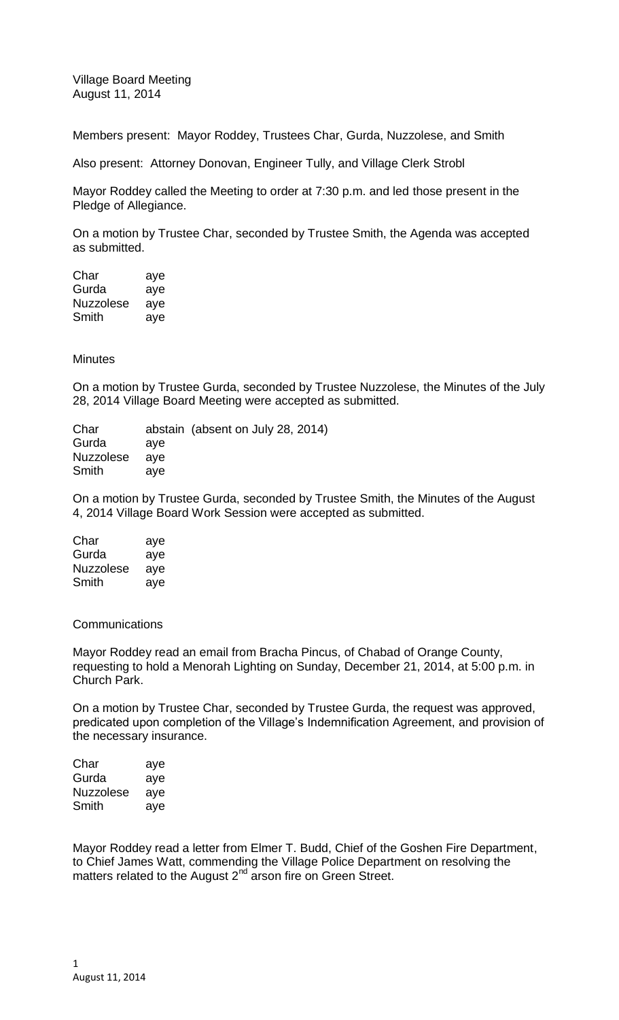Village Board Meeting August 11, 2014

Members present: Mayor Roddey, Trustees Char, Gurda, Nuzzolese, and Smith

Also present: Attorney Donovan, Engineer Tully, and Village Clerk Strobl

Mayor Roddey called the Meeting to order at 7:30 p.m. and led those present in the Pledge of Allegiance.

On a motion by Trustee Char, seconded by Trustee Smith, the Agenda was accepted as submitted.

Char aye Gurda aye Nuzzolese aye Smith aye

**Minutes** 

On a motion by Trustee Gurda, seconded by Trustee Nuzzolese, the Minutes of the July 28, 2014 Village Board Meeting were accepted as submitted.

Char abstain (absent on July 28, 2014) Gurda aye Nuzzolese aye Smith aye

On a motion by Trustee Gurda, seconded by Trustee Smith, the Minutes of the August 4, 2014 Village Board Work Session were accepted as submitted.

Char aye Gurda aye Nuzzolese aye Smith aye

**Communications** 

Mayor Roddey read an email from Bracha Pincus, of Chabad of Orange County, requesting to hold a Menorah Lighting on Sunday, December 21, 2014, at 5:00 p.m. in Church Park.

On a motion by Trustee Char, seconded by Trustee Gurda, the request was approved, predicated upon completion of the Village's Indemnification Agreement, and provision of the necessary insurance.

| aye |
|-----|
| aye |
| aye |
| aye |
|     |

Mayor Roddey read a letter from Elmer T. Budd, Chief of the Goshen Fire Department, to Chief James Watt, commending the Village Police Department on resolving the matters related to the August 2<sup>nd</sup> arson fire on Green Street.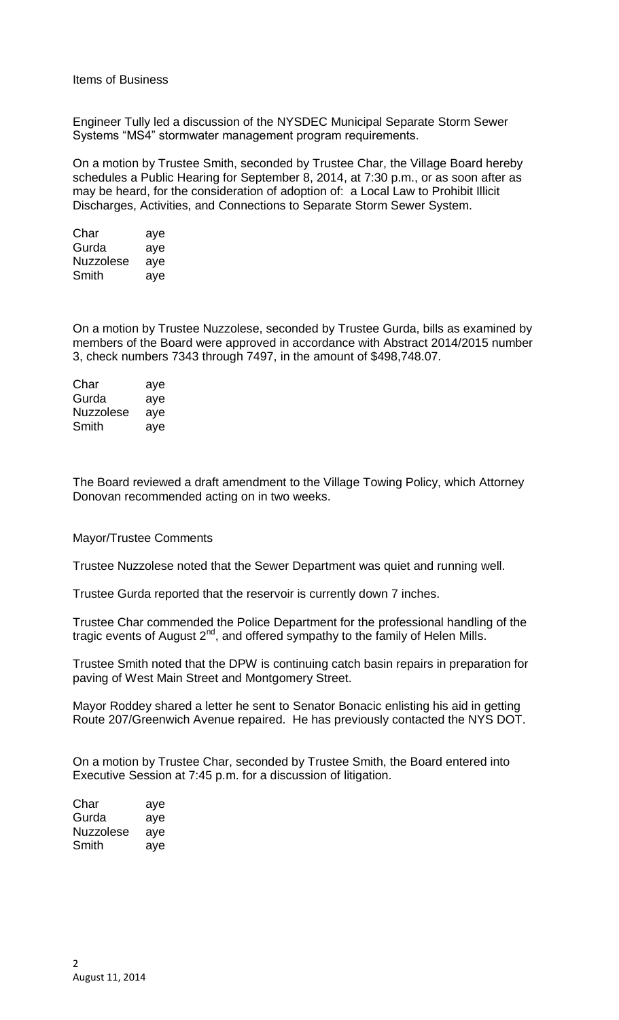Engineer Tully led a discussion of the NYSDEC Municipal Separate Storm Sewer Systems "MS4" stormwater management program requirements.

On a motion by Trustee Smith, seconded by Trustee Char, the Village Board hereby schedules a Public Hearing for September 8, 2014, at 7:30 p.m., or as soon after as may be heard, for the consideration of adoption of: a Local Law to Prohibit Illicit Discharges, Activities, and Connections to Separate Storm Sewer System.

| Char             | aye |
|------------------|-----|
| Gurda            | aye |
| <b>Nuzzolese</b> | aye |
| Smith            | aye |

On a motion by Trustee Nuzzolese, seconded by Trustee Gurda, bills as examined by members of the Board were approved in accordance with Abstract 2014/2015 number 3, check numbers 7343 through 7497, in the amount of \$498,748.07.

| Char      | aye |
|-----------|-----|
| Gurda     | aye |
| Nuzzolese | aye |
| Smith     | ave |

The Board reviewed a draft amendment to the Village Towing Policy, which Attorney Donovan recommended acting on in two weeks.

## Mayor/Trustee Comments

Trustee Nuzzolese noted that the Sewer Department was quiet and running well.

Trustee Gurda reported that the reservoir is currently down 7 inches.

Trustee Char commended the Police Department for the professional handling of the tragic events of August  $2<sup>nd</sup>$ , and offered sympathy to the family of Helen Mills.

Trustee Smith noted that the DPW is continuing catch basin repairs in preparation for paving of West Main Street and Montgomery Street.

Mayor Roddey shared a letter he sent to Senator Bonacic enlisting his aid in getting Route 207/Greenwich Avenue repaired. He has previously contacted the NYS DOT.

On a motion by Trustee Char, seconded by Trustee Smith, the Board entered into Executive Session at 7:45 p.m. for a discussion of litigation.

| Char      | aye |
|-----------|-----|
| Gurda     | aye |
| Nuzzolese | aye |
| Smith     | aye |